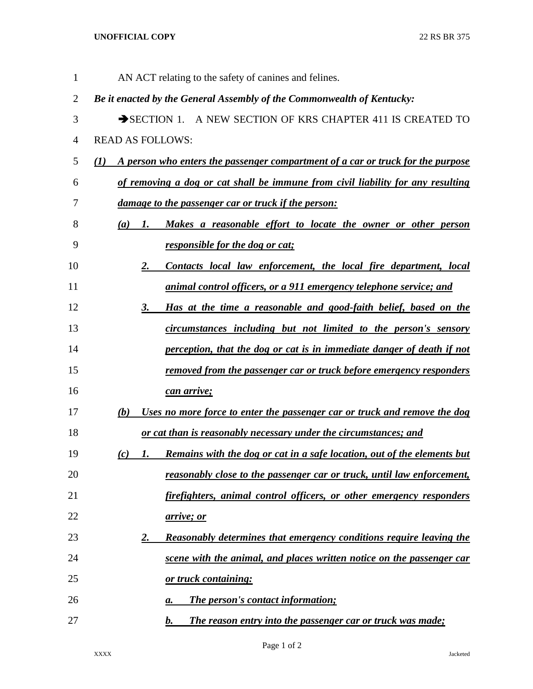## **UNOFFICIAL COPY** 22 RS BR 375

| 1              | AN ACT relating to the safety of canines and felines.                                           |
|----------------|-------------------------------------------------------------------------------------------------|
| $\overline{2}$ | Be it enacted by the General Assembly of the Commonwealth of Kentucky:                          |
| 3              | SECTION 1. A NEW SECTION OF KRS CHAPTER 411 IS CREATED TO                                       |
| 4              | <b>READ AS FOLLOWS:</b>                                                                         |
| 5              | A person who enters the passenger compartment of a car or truck for the purpose<br>$\mathbf{U}$ |
| 6              | of removing a dog or cat shall be immune from civil liability for any resulting                 |
| 7              | <u>damage to the passenger car or truck if the person:</u>                                      |
| 8              | Makes a reasonable effort to locate the owner or other person<br>(a)<br>1.                      |
| 9              | responsible for the dog or cat;                                                                 |
| 10             | Contacts local law enforcement, the local fire department, local<br><u>2.</u>                   |
| 11             | animal control officers, or a 911 emergency telephone service; and                              |
| 12             | Has at the time a reasonable and good-faith belief, based on the<br>3.                          |
| 13             | circumstances including but not limited to the person's sensory                                 |
| 14             | perception, that the dog or cat is in immediate danger of death if not                          |
| 15             | <u>removed from the passenger car or truck before emergency responders</u>                      |
| 16             | can arrive;                                                                                     |
| 17             | Uses no more force to enter the passenger car or truck and remove the dog<br>(b)                |
| 18             | or cat than is reasonably necessary under the circumstances; and                                |
| 19             | <u>Remains with the dog or cat in a safe location, out of the elements but</u><br>(c)<br>1.     |
| 20             | <u>reasonably close to the passenger car or truck, until law enforcement,</u>                   |
| 21             | firefighters, animal control officers, or other emergency responders                            |
| 22             | <u>arrive; or</u>                                                                               |
| 23             | Reasonably determines that emergency conditions require leaving the<br><u>2.</u>                |
| 24             | scene with the animal, and places written notice on the passenger car                           |
| 25             | or truck containing:                                                                            |
| 26             | <b>The person's contact information;</b><br>а.                                                  |
| 27             | The reason entry into the passenger car or truck was made;<br>b.                                |